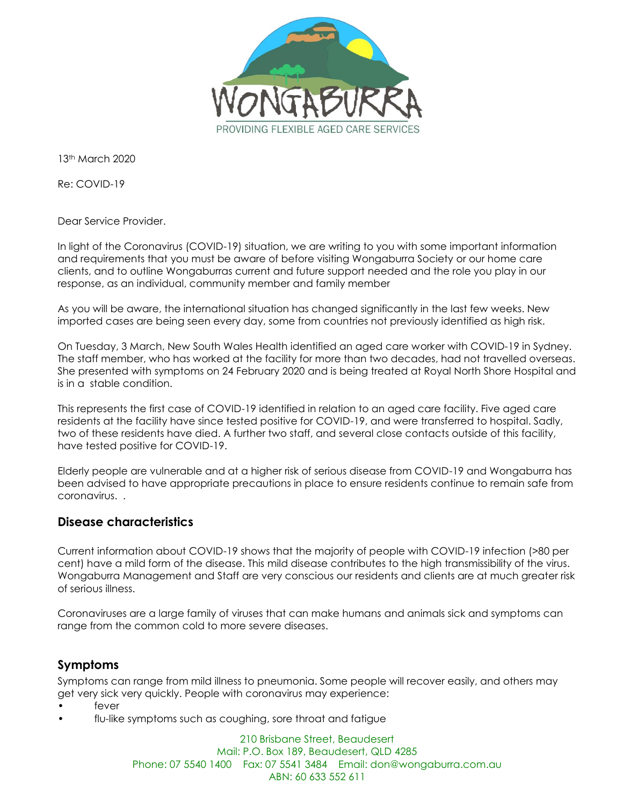

13th March 2020

Re: COVID-19

Dear Service Provider.

In light of the Coronavirus (COVID-19) situation, we are writing to you with some important information and requirements that you must be aware of before visiting Wongaburra Society or our home care clients, and to outline Wongaburras current and future support needed and the role you play in our response, as an individual, community member and family member

As you will be aware, the international situation has changed significantly in the last few weeks. New imported cases are being seen every day, some from countries not previously identified as high risk.

On Tuesday, 3 March, New South Wales Health identified an aged care worker with COVID-19 in Sydney. The staff member, who has worked at the facility for more than two decades, had not travelled overseas. She presented with symptoms on 24 February 2020 and is being treated at Royal North Shore Hospital and is in a stable condition.

This represents the first case of COVID-19 identified in relation to an aged care facility. Five aged care residents at the facility have since tested positive for COVID-19, and were transferred to hospital. Sadly, two of these residents have died. A further two staff, and several close contacts outside of this facility, have tested positive for COVID-19.

Elderly people are vulnerable and at a higher risk of serious disease from COVID-19 and Wongaburra has been advised to have appropriate precautions in place to ensure residents continue to remain safe from coronavirus. .

#### **Disease characteristics**

Current information about COVID-19 shows that the majority of people with COVID-19 infection (>80 per cent) have a mild form of the disease. This mild disease contributes to the high transmissibility of the virus. Wongaburra Management and Staff are very conscious our residents and clients are at much greater risk of serious illness.

Coronaviruses are a large family of viruses that can make humans and animals sick and symptoms can range from the common cold to more severe diseases.

#### **Symptoms**

Symptoms can range from mild illness to pneumonia. Some people will recover easily, and others may get very sick very quickly. People with coronavirus may experience:

- fever
- flu-like symptoms such as coughing, sore throat and fatigue

210 Brisbane Street, Beaudesert Mail: P.O. Box 189, Beaudesert, QLD 4285 Phone: 07 5540 1400 Fax: 07 5541 3484 Email: don@wongaburra.com.au ABN: 60 633 552 611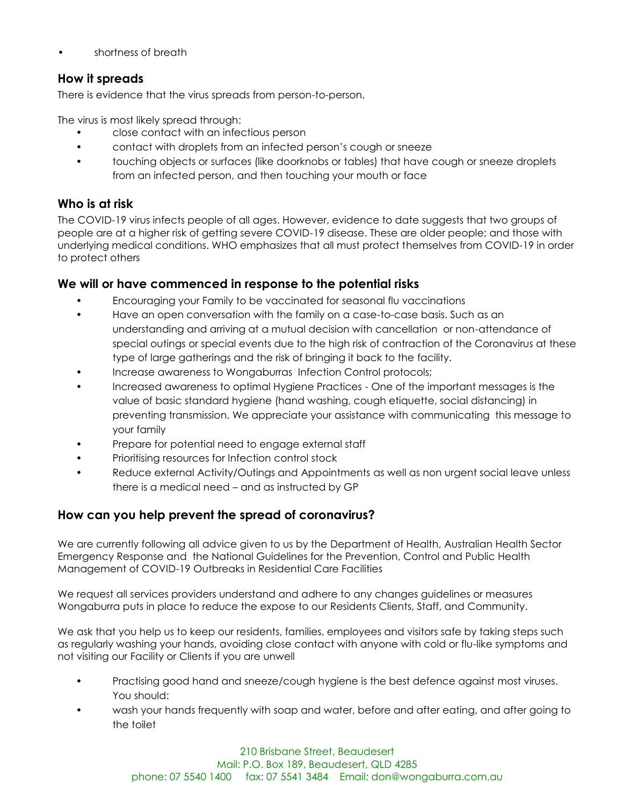• shortness of breath

## **How it spreads**

There is evidence that the virus spreads from person-to-person.

The virus is most likely spread through:

- close contact with an infectious person
- contact with droplets from an infected person's cough or sneeze
- touching objects or surfaces (like doorknobs or tables) that have cough or sneeze droplets from an infected person, and then touching your mouth or face

## **Who is at risk**

The COVID-19 virus infects people of all ages. However, evidence to date suggests that two groups of people are at a higher risk of getting severe COVID-19 disease. These are older people; and those with underlying medical conditions. WHO emphasizes that all must protect themselves from COVID-19 in order to protect others

#### **We will or have commenced in response to the potential risks**

- Encouraging your Family to be vaccinated for seasonal flu vaccinations
- Have an open conversation with the family on a case-to-case basis. Such as an understanding and arriving at a mutual decision with cancellation or non-attendance of special outings or special events due to the high risk of contraction of the Coronavirus at these type of large gatherings and the risk of bringing it back to the facility.
- Increase awareness to Wongaburras Infection Control protocols;
- Increased awareness to optimal Hygiene Practices One of the important messages is the value of basic standard hygiene (hand washing, cough etiquette, social distancing) in preventing transmission. We appreciate your assistance with communicating this message to your family
- Prepare for potential need to engage external staff
- Prioritising resources for Infection control stock
- Reduce external Activity/Outings and Appointments as well as non urgent social leave unless there is a medical need – and as instructed by GP

# **How can you help prevent the spread of coronavirus?**

We are currently following all advice given to us by the Department of Health, Australian Health Sector Emergency Response and the National Guidelines for the Prevention, Control and Public Health Management of COVID-19 Outbreaks in Residential Care Facilities

We request all services providers understand and adhere to any changes guidelines or measures Wongaburra puts in place to reduce the expose to our Residents Clients, Staff, and Community.

We ask that you help us to keep our residents, families, employees and visitors safe by taking steps such as regularly washing your hands, avoiding close contact with anyone with cold or flu-like symptoms and not visiting our Facility or Clients if you are unwell

- Practising good hand and sneeze/cough hygiene is the best defence against most viruses. You should:
- wash your hands frequently with soap and water, before and after eating, and after going to the toilet